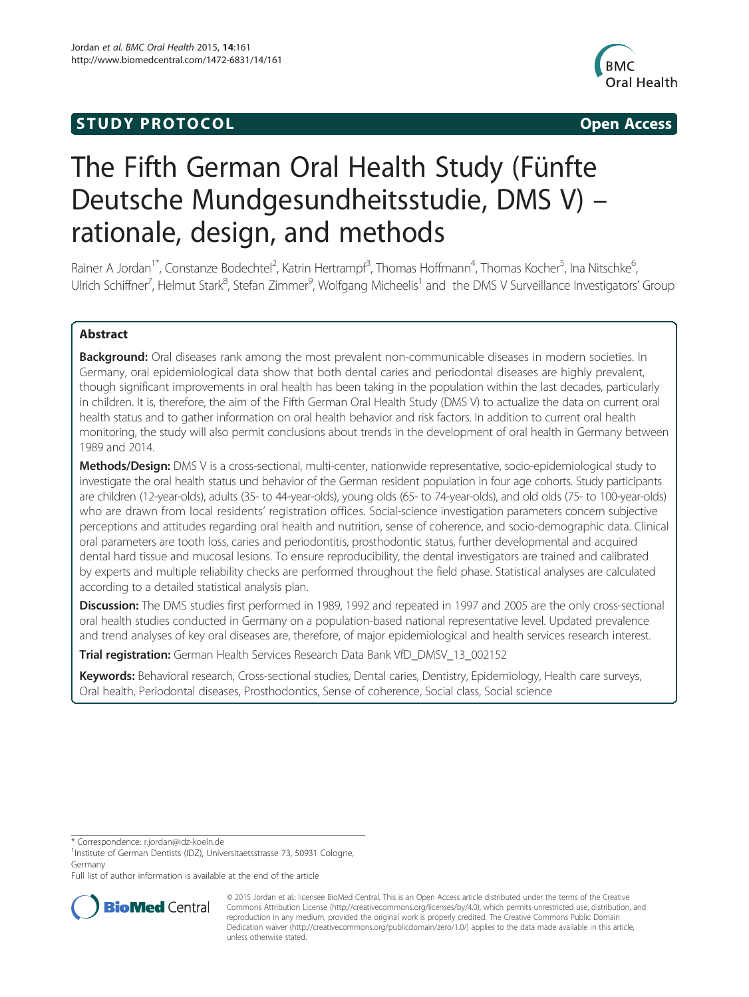# **STUDY PROTOCOL CONSUMING THE STUDY PROTOCOL**



# The Fifth German Oral Health Study (Fünfte Deutsche Mundgesundheitsstudie, DMS V) – rationale, design, and methods

Rainer A Jordan<sup>1\*</sup>, Constanze Bodechtel<sup>2</sup>, Katrin Hertrampf<sup>3</sup>, Thomas Hoffmann<sup>4</sup>, Thomas Kocher<sup>5</sup>, Ina Nitschke<sup>6</sup> י<br>, Ulrich Schiffner<sup>7</sup>, Helmut Stark<sup>8</sup>, Stefan Zimmer<sup>9</sup>, Wolfgang Micheelis<sup>1</sup> and the DMS V Surveillance Investigators' Group

# Abstract

Background: Oral diseases rank among the most prevalent non-communicable diseases in modern societies. In Germany, oral epidemiological data show that both dental caries and periodontal diseases are highly prevalent, though significant improvements in oral health has been taking in the population within the last decades, particularly in children. It is, therefore, the aim of the Fifth German Oral Health Study (DMS V) to actualize the data on current oral health status and to gather information on oral health behavior and risk factors. In addition to current oral health monitoring, the study will also permit conclusions about trends in the development of oral health in Germany between 1989 and 2014.

Methods/Design: DMS V is a cross-sectional, multi-center, nationwide representative, socio-epidemiological study to investigate the oral health status und behavior of the German resident population in four age cohorts. Study participants are children (12-year-olds), adults (35- to 44-year-olds), young olds (65- to 74-year-olds), and old olds (75- to 100-year-olds) who are drawn from local residents' registration offices. Social-science investigation parameters concern subjective perceptions and attitudes regarding oral health and nutrition, sense of coherence, and socio-demographic data. Clinical oral parameters are tooth loss, caries and periodontitis, prosthodontic status, further developmental and acquired dental hard tissue and mucosal lesions. To ensure reproducibility, the dental investigators are trained and calibrated by experts and multiple reliability checks are performed throughout the field phase. Statistical analyses are calculated according to a detailed statistical analysis plan.

Discussion: The DMS studies first performed in 1989, 1992 and repeated in 1997 and 2005 are the only cross-sectional oral health studies conducted in Germany on a population-based national representative level. Updated prevalence and trend analyses of key oral diseases are, therefore, of major epidemiological and health services research interest.

**Trial registration:** German Health Services Research Data Bank VfD DMSV 13 002152

Keywords: Behavioral research, Cross-sectional studies, Dental caries, Dentistry, Epidemiology, Health care surveys, Oral health, Periodontal diseases, Prosthodontics, Sense of coherence, Social class, Social science

\* Correspondence: [r.jordan@idz-koeln.de](mailto:r.jordan@idz-koeln.de) <sup>1</sup>

Full list of author information is available at the end of the article



<sup>© 2015</sup> Jordan et al.; licensee BioMed Central. This is an Open Access article distributed under the terms of the Creative Commons Attribution License [\(http://creativecommons.org/licenses/by/4.0\)](http://creativecommons.org/licenses/by/4.0), which permits unrestricted use, distribution, and reproduction in any medium, provided the original work is properly credited. The Creative Commons Public Domain Dedication waiver [\(http://creativecommons.org/publicdomain/zero/1.0/](http://creativecommons.org/publicdomain/zero/1.0/)) applies to the data made available in this article, unless otherwise stated.

<sup>&</sup>lt;sup>1</sup>Institute of German Dentists (IDZ), Universitaetsstrasse 73, 50931 Cologne, Germany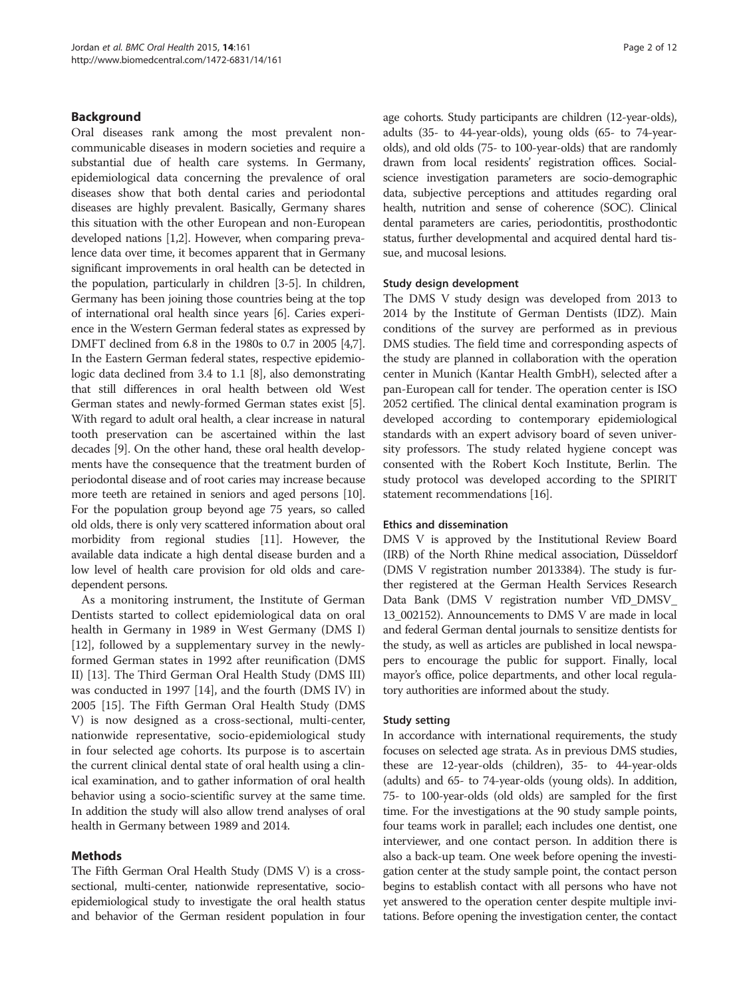# Background

Oral diseases rank among the most prevalent noncommunicable diseases in modern societies and require a substantial due of health care systems. In Germany, epidemiological data concerning the prevalence of oral diseases show that both dental caries and periodontal diseases are highly prevalent. Basically, Germany shares this situation with the other European and non-European developed nations [\[1,2](#page-10-0)]. However, when comparing prevalence data over time, it becomes apparent that in Germany significant improvements in oral health can be detected in the population, particularly in children [[3](#page-10-0)-[5\]](#page-10-0). In children, Germany has been joining those countries being at the top of international oral health since years [[6](#page-10-0)]. Caries experience in the Western German federal states as expressed by DMFT declined from 6.8 in the 1980s to 0.7 in 2005 [[4,7](#page-10-0)]. In the Eastern German federal states, respective epidemiologic data declined from 3.4 to 1.1 [\[8](#page-10-0)], also demonstrating that still differences in oral health between old West German states and newly-formed German states exist [[5](#page-10-0)]. With regard to adult oral health, a clear increase in natural tooth preservation can be ascertained within the last decades [[9](#page-10-0)]. On the other hand, these oral health developments have the consequence that the treatment burden of periodontal disease and of root caries may increase because more teeth are retained in seniors and aged persons [\[10](#page-10-0)]. For the population group beyond age 75 years, so called old olds, there is only very scattered information about oral morbidity from regional studies [\[11](#page-10-0)]. However, the available data indicate a high dental disease burden and a low level of health care provision for old olds and caredependent persons.

As a monitoring instrument, the Institute of German Dentists started to collect epidemiological data on oral health in Germany in 1989 in West Germany (DMS I) [[12\]](#page-10-0), followed by a supplementary survey in the newlyformed German states in 1992 after reunification (DMS II) [[13](#page-10-0)]. The Third German Oral Health Study (DMS III) was conducted in 1997 [[14](#page-10-0)], and the fourth (DMS IV) in 2005 [[15\]](#page-10-0). The Fifth German Oral Health Study (DMS V) is now designed as a cross-sectional, multi-center, nationwide representative, socio-epidemiological study in four selected age cohorts. Its purpose is to ascertain the current clinical dental state of oral health using a clinical examination, and to gather information of oral health behavior using a socio-scientific survey at the same time. In addition the study will also allow trend analyses of oral health in Germany between 1989 and 2014.

# Methods

The Fifth German Oral Health Study (DMS V) is a crosssectional, multi-center, nationwide representative, socioepidemiological study to investigate the oral health status and behavior of the German resident population in four age cohorts. Study participants are children (12-year-olds), adults (35- to 44-year-olds), young olds (65- to 74-yearolds), and old olds (75- to 100-year-olds) that are randomly drawn from local residents' registration offices. Socialscience investigation parameters are socio-demographic data, subjective perceptions and attitudes regarding oral health, nutrition and sense of coherence (SOC). Clinical dental parameters are caries, periodontitis, prosthodontic status, further developmental and acquired dental hard tissue, and mucosal lesions.

#### Study design development

The DMS V study design was developed from 2013 to 2014 by the Institute of German Dentists (IDZ). Main conditions of the survey are performed as in previous DMS studies. The field time and corresponding aspects of the study are planned in collaboration with the operation center in Munich (Kantar Health GmbH), selected after a pan-European call for tender. The operation center is ISO 2052 certified. The clinical dental examination program is developed according to contemporary epidemiological standards with an expert advisory board of seven university professors. The study related hygiene concept was consented with the Robert Koch Institute, Berlin. The study protocol was developed according to the SPIRIT statement recommendations [[16](#page-10-0)].

#### Ethics and dissemination

DMS V is approved by the Institutional Review Board (IRB) of the North Rhine medical association, Düsseldorf (DMS V registration number 2013384). The study is further registered at the German Health Services Research Data Bank (DMS V registration number VfD\_DMSV\_ 13\_002152). Announcements to DMS V are made in local and federal German dental journals to sensitize dentists for the study, as well as articles are published in local newspapers to encourage the public for support. Finally, local mayor's office, police departments, and other local regulatory authorities are informed about the study.

#### Study setting

In accordance with international requirements, the study focuses on selected age strata. As in previous DMS studies, these are 12-year-olds (children), 35- to 44-year-olds (adults) and 65- to 74-year-olds (young olds). In addition, 75- to 100-year-olds (old olds) are sampled for the first time. For the investigations at the 90 study sample points, four teams work in parallel; each includes one dentist, one interviewer, and one contact person. In addition there is also a back-up team. One week before opening the investigation center at the study sample point, the contact person begins to establish contact with all persons who have not yet answered to the operation center despite multiple invitations. Before opening the investigation center, the contact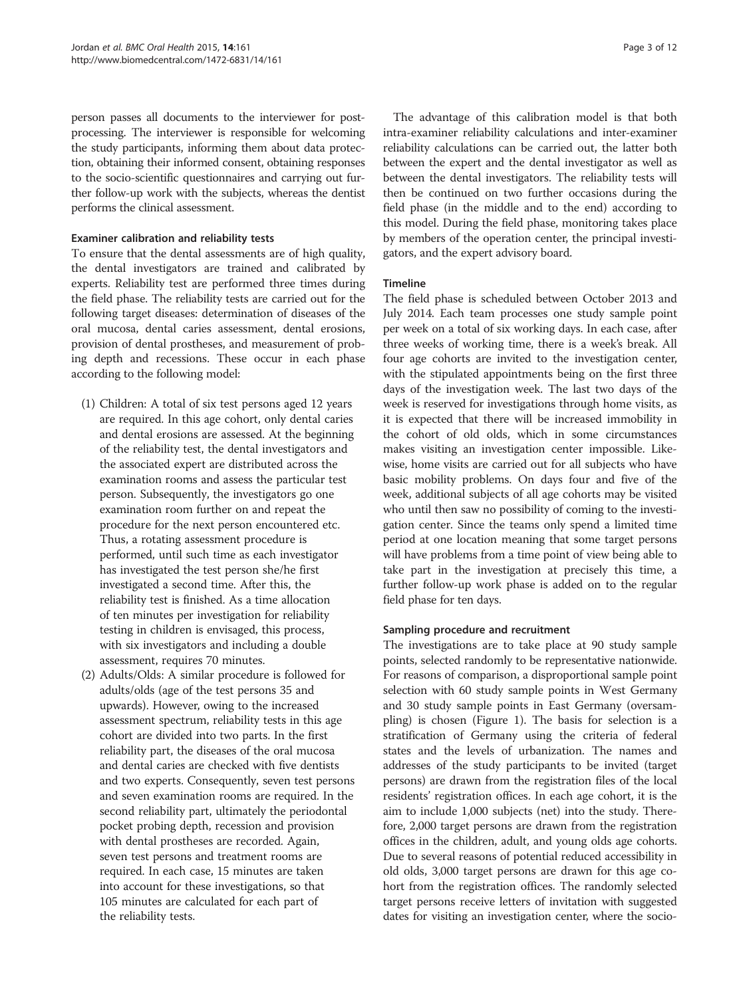person passes all documents to the interviewer for postprocessing. The interviewer is responsible for welcoming the study participants, informing them about data protection, obtaining their informed consent, obtaining responses to the socio-scientific questionnaires and carrying out further follow-up work with the subjects, whereas the dentist performs the clinical assessment.

# Examiner calibration and reliability tests

To ensure that the dental assessments are of high quality, the dental investigators are trained and calibrated by experts. Reliability test are performed three times during the field phase. The reliability tests are carried out for the following target diseases: determination of diseases of the oral mucosa, dental caries assessment, dental erosions, provision of dental prostheses, and measurement of probing depth and recessions. These occur in each phase according to the following model:

- (1) Children: A total of six test persons aged 12 years are required. In this age cohort, only dental caries and dental erosions are assessed. At the beginning of the reliability test, the dental investigators and the associated expert are distributed across the examination rooms and assess the particular test person. Subsequently, the investigators go one examination room further on and repeat the procedure for the next person encountered etc. Thus, a rotating assessment procedure is performed, until such time as each investigator has investigated the test person she/he first investigated a second time. After this, the reliability test is finished. As a time allocation of ten minutes per investigation for reliability testing in children is envisaged, this process, with six investigators and including a double assessment, requires 70 minutes.
- (2) Adults/Olds: A similar procedure is followed for adults/olds (age of the test persons 35 and upwards). However, owing to the increased assessment spectrum, reliability tests in this age cohort are divided into two parts. In the first reliability part, the diseases of the oral mucosa and dental caries are checked with five dentists and two experts. Consequently, seven test persons and seven examination rooms are required. In the second reliability part, ultimately the periodontal pocket probing depth, recession and provision with dental prostheses are recorded. Again, seven test persons and treatment rooms are required. In each case, 15 minutes are taken into account for these investigations, so that 105 minutes are calculated for each part of the reliability tests.

The advantage of this calibration model is that both intra-examiner reliability calculations and inter-examiner reliability calculations can be carried out, the latter both between the expert and the dental investigator as well as between the dental investigators. The reliability tests will then be continued on two further occasions during the field phase (in the middle and to the end) according to this model. During the field phase, monitoring takes place by members of the operation center, the principal investigators, and the expert advisory board.

# Timeline

The field phase is scheduled between October 2013 and July 2014. Each team processes one study sample point per week on a total of six working days. In each case, after three weeks of working time, there is a week's break. All four age cohorts are invited to the investigation center, with the stipulated appointments being on the first three days of the investigation week. The last two days of the week is reserved for investigations through home visits, as it is expected that there will be increased immobility in the cohort of old olds, which in some circumstances makes visiting an investigation center impossible. Likewise, home visits are carried out for all subjects who have basic mobility problems. On days four and five of the week, additional subjects of all age cohorts may be visited who until then saw no possibility of coming to the investigation center. Since the teams only spend a limited time period at one location meaning that some target persons will have problems from a time point of view being able to take part in the investigation at precisely this time, a further follow-up work phase is added on to the regular field phase for ten days.

# Sampling procedure and recruitment

The investigations are to take place at 90 study sample points, selected randomly to be representative nationwide. For reasons of comparison, a disproportional sample point selection with 60 study sample points in West Germany and 30 study sample points in East Germany (oversampling) is chosen (Figure [1](#page-3-0)). The basis for selection is a stratification of Germany using the criteria of federal states and the levels of urbanization. The names and addresses of the study participants to be invited (target persons) are drawn from the registration files of the local residents' registration offices. In each age cohort, it is the aim to include 1,000 subjects (net) into the study. Therefore, 2,000 target persons are drawn from the registration offices in the children, adult, and young olds age cohorts. Due to several reasons of potential reduced accessibility in old olds, 3,000 target persons are drawn for this age cohort from the registration offices. The randomly selected target persons receive letters of invitation with suggested dates for visiting an investigation center, where the socio-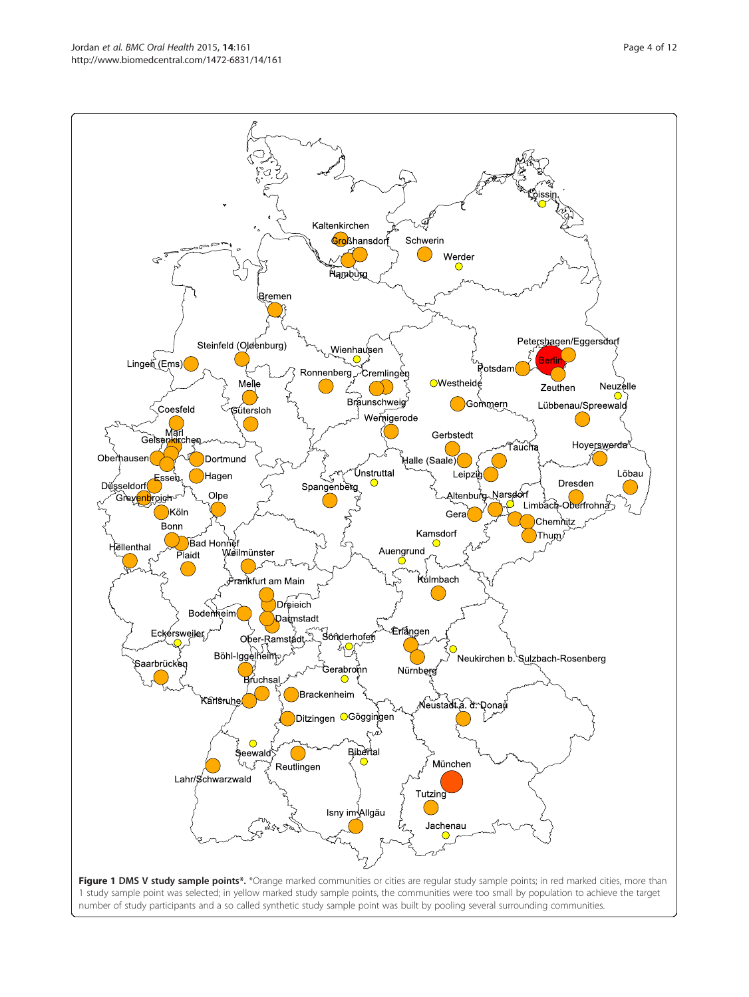<span id="page-3-0"></span>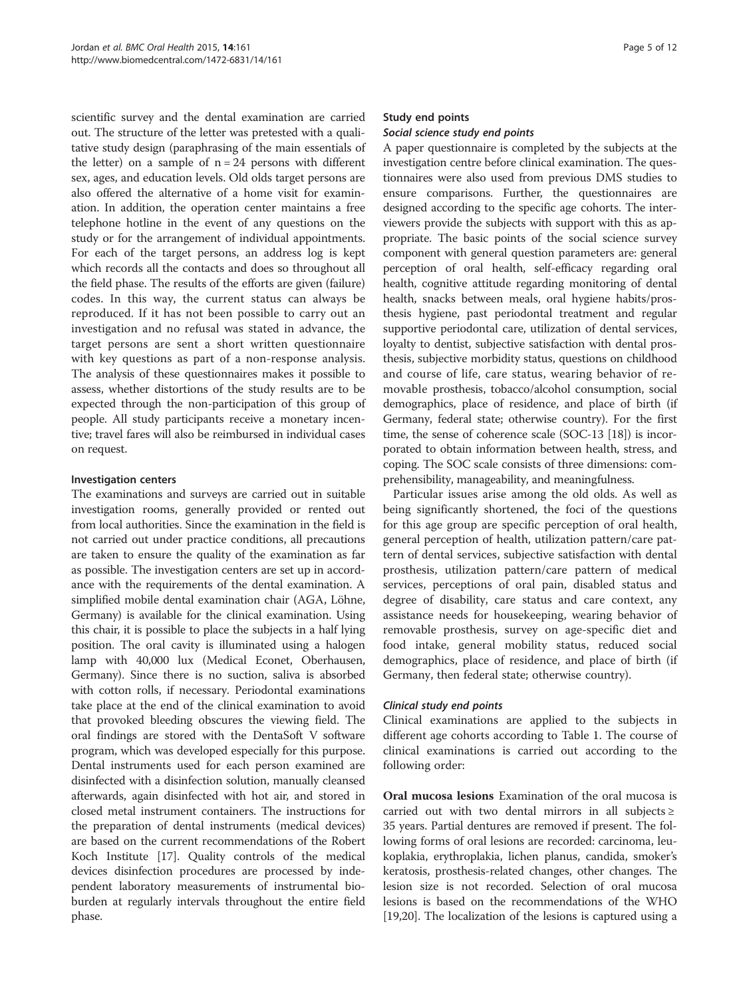scientific survey and the dental examination are carried out. The structure of the letter was pretested with a qualitative study design (paraphrasing of the main essentials of the letter) on a sample of  $n = 24$  persons with different sex, ages, and education levels. Old olds target persons are also offered the alternative of a home visit for examination. In addition, the operation center maintains a free telephone hotline in the event of any questions on the study or for the arrangement of individual appointments. For each of the target persons, an address log is kept which records all the contacts and does so throughout all the field phase. The results of the efforts are given (failure) codes. In this way, the current status can always be reproduced. If it has not been possible to carry out an investigation and no refusal was stated in advance, the target persons are sent a short written questionnaire with key questions as part of a non-response analysis. The analysis of these questionnaires makes it possible to assess, whether distortions of the study results are to be expected through the non-participation of this group of people. All study participants receive a monetary incentive; travel fares will also be reimbursed in individual cases on request.

# Investigation centers

The examinations and surveys are carried out in suitable investigation rooms, generally provided or rented out from local authorities. Since the examination in the field is not carried out under practice conditions, all precautions are taken to ensure the quality of the examination as far as possible. The investigation centers are set up in accordance with the requirements of the dental examination. A simplified mobile dental examination chair (AGA, Löhne, Germany) is available for the clinical examination. Using this chair, it is possible to place the subjects in a half lying position. The oral cavity is illuminated using a halogen lamp with 40,000 lux (Medical Econet, Oberhausen, Germany). Since there is no suction, saliva is absorbed with cotton rolls, if necessary. Periodontal examinations take place at the end of the clinical examination to avoid that provoked bleeding obscures the viewing field. The oral findings are stored with the DentaSoft V software program, which was developed especially for this purpose. Dental instruments used for each person examined are disinfected with a disinfection solution, manually cleansed afterwards, again disinfected with hot air, and stored in closed metal instrument containers. The instructions for the preparation of dental instruments (medical devices) are based on the current recommendations of the Robert Koch Institute [\[17\]](#page-10-0). Quality controls of the medical devices disinfection procedures are processed by independent laboratory measurements of instrumental bioburden at regularly intervals throughout the entire field phase.

# Study end points

# Social science study end points

A paper questionnaire is completed by the subjects at the investigation centre before clinical examination. The questionnaires were also used from previous DMS studies to ensure comparisons. Further, the questionnaires are designed according to the specific age cohorts. The interviewers provide the subjects with support with this as appropriate. The basic points of the social science survey component with general question parameters are: general perception of oral health, self-efficacy regarding oral health, cognitive attitude regarding monitoring of dental health, snacks between meals, oral hygiene habits/prosthesis hygiene, past periodontal treatment and regular supportive periodontal care, utilization of dental services, loyalty to dentist, subjective satisfaction with dental prosthesis, subjective morbidity status, questions on childhood and course of life, care status, wearing behavior of removable prosthesis, tobacco/alcohol consumption, social demographics, place of residence, and place of birth (if Germany, federal state; otherwise country). For the first time, the sense of coherence scale (SOC-13 [\[18\]](#page-10-0)) is incorporated to obtain information between health, stress, and coping. The SOC scale consists of three dimensions: comprehensibility, manageability, and meaningfulness.

Particular issues arise among the old olds. As well as being significantly shortened, the foci of the questions for this age group are specific perception of oral health, general perception of health, utilization pattern/care pattern of dental services, subjective satisfaction with dental prosthesis, utilization pattern/care pattern of medical services, perceptions of oral pain, disabled status and degree of disability, care status and care context, any assistance needs for housekeeping, wearing behavior of removable prosthesis, survey on age-specific diet and food intake, general mobility status, reduced social demographics, place of residence, and place of birth (if Germany, then federal state; otherwise country).

# Clinical study end points

Clinical examinations are applied to the subjects in different age cohorts according to Table [1.](#page-5-0) The course of clinical examinations is carried out according to the following order:

Oral mucosa lesions Examination of the oral mucosa is carried out with two dental mirrors in all subjects ≥ 35 years. Partial dentures are removed if present. The following forms of oral lesions are recorded: carcinoma, leukoplakia, erythroplakia, lichen planus, candida, smoker's keratosis, prosthesis-related changes, other changes. The lesion size is not recorded. Selection of oral mucosa lesions is based on the recommendations of the WHO [[19](#page-10-0),[20](#page-10-0)]. The localization of the lesions is captured using a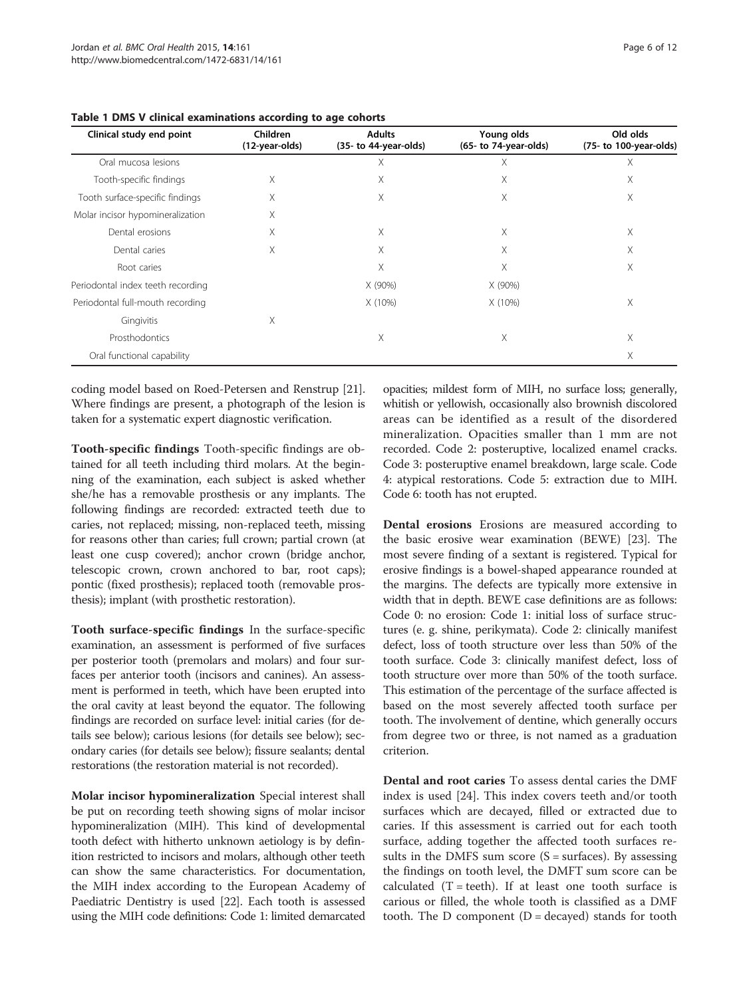| Clinical study end point          | <b>Children</b><br>(12-year-olds) | <b>Adults</b><br>(35- to 44-year-olds) | Young olds<br>(65- to 74-year-olds) | Old olds<br>(75- to 100-year-olds) |
|-----------------------------------|-----------------------------------|----------------------------------------|-------------------------------------|------------------------------------|
| Oral mucosa lesions               |                                   | X                                      | X                                   | X                                  |
| Tooth-specific findings           | Χ                                 | X                                      | X                                   | Χ                                  |
| Tooth surface-specific findings   | Χ                                 | X                                      | X                                   | Χ                                  |
| Molar incisor hypomineralization  | X                                 |                                        |                                     |                                    |
| Dental erosions                   | Χ                                 | X                                      | X                                   | Χ                                  |
| Dental caries                     | X                                 | X                                      | X                                   | Χ                                  |
| Root caries                       |                                   | X                                      | X                                   | X                                  |
| Periodontal index teeth recording |                                   | X (90%)                                | X (90%)                             |                                    |
| Periodontal full-mouth recording  |                                   | X (10%)                                | $X(10\%)$                           | Χ                                  |
| Gingivitis                        | Χ                                 |                                        |                                     |                                    |
| Prosthodontics                    |                                   | X                                      | X                                   | Χ                                  |
| Oral functional capability        |                                   |                                        |                                     | Χ                                  |

# <span id="page-5-0"></span>Table 1 DMS V clinical examinations according to age cohorts

coding model based on Roed-Petersen and Renstrup [[21](#page-10-0)]. Where findings are present, a photograph of the lesion is taken for a systematic expert diagnostic verification.

Tooth-specific findings Tooth-specific findings are obtained for all teeth including third molars. At the beginning of the examination, each subject is asked whether she/he has a removable prosthesis or any implants. The following findings are recorded: extracted teeth due to caries, not replaced; missing, non-replaced teeth, missing for reasons other than caries; full crown; partial crown (at least one cusp covered); anchor crown (bridge anchor, telescopic crown, crown anchored to bar, root caps); pontic (fixed prosthesis); replaced tooth (removable prosthesis); implant (with prosthetic restoration).

Tooth surface-specific findings In the surface-specific examination, an assessment is performed of five surfaces per posterior tooth (premolars and molars) and four surfaces per anterior tooth (incisors and canines). An assessment is performed in teeth, which have been erupted into the oral cavity at least beyond the equator. The following findings are recorded on surface level: initial caries (for details see below); carious lesions (for details see below); secondary caries (for details see below); fissure sealants; dental restorations (the restoration material is not recorded).

Molar incisor hypomineralization Special interest shall be put on recording teeth showing signs of molar incisor hypomineralization (MIH). This kind of developmental tooth defect with hitherto unknown aetiology is by definition restricted to incisors and molars, although other teeth can show the same characteristics. For documentation, the MIH index according to the European Academy of Paediatric Dentistry is used [\[22\]](#page-10-0). Each tooth is assessed using the MIH code definitions: Code 1: limited demarcated

opacities; mildest form of MIH, no surface loss; generally, whitish or yellowish, occasionally also brownish discolored areas can be identified as a result of the disordered mineralization. Opacities smaller than 1 mm are not recorded. Code 2: posteruptive, localized enamel cracks. Code 3: posteruptive enamel breakdown, large scale. Code 4: atypical restorations. Code 5: extraction due to MIH. Code 6: tooth has not erupted.

Dental erosions Erosions are measured according to the basic erosive wear examination (BEWE) [\[23\]](#page-10-0). The most severe finding of a sextant is registered. Typical for erosive findings is a bowel-shaped appearance rounded at the margins. The defects are typically more extensive in width that in depth. BEWE case definitions are as follows: Code 0: no erosion: Code 1: initial loss of surface structures (e. g. shine, perikymata). Code 2: clinically manifest defect, loss of tooth structure over less than 50% of the tooth surface. Code 3: clinically manifest defect, loss of tooth structure over more than 50% of the tooth surface. This estimation of the percentage of the surface affected is based on the most severely affected tooth surface per tooth. The involvement of dentine, which generally occurs from degree two or three, is not named as a graduation criterion.

Dental and root caries To assess dental caries the DMF index is used [\[24\]](#page-10-0). This index covers teeth and/or tooth surfaces which are decayed, filled or extracted due to caries. If this assessment is carried out for each tooth surface, adding together the affected tooth surfaces results in the DMFS sum score  $(S = \text{surfaces})$ . By assessing the findings on tooth level, the DMFT sum score can be calculated  $(T = \text{teeth})$ . If at least one tooth surface is carious or filled, the whole tooth is classified as a DMF tooth. The  $D$  component  $(D = decayed)$  stands for tooth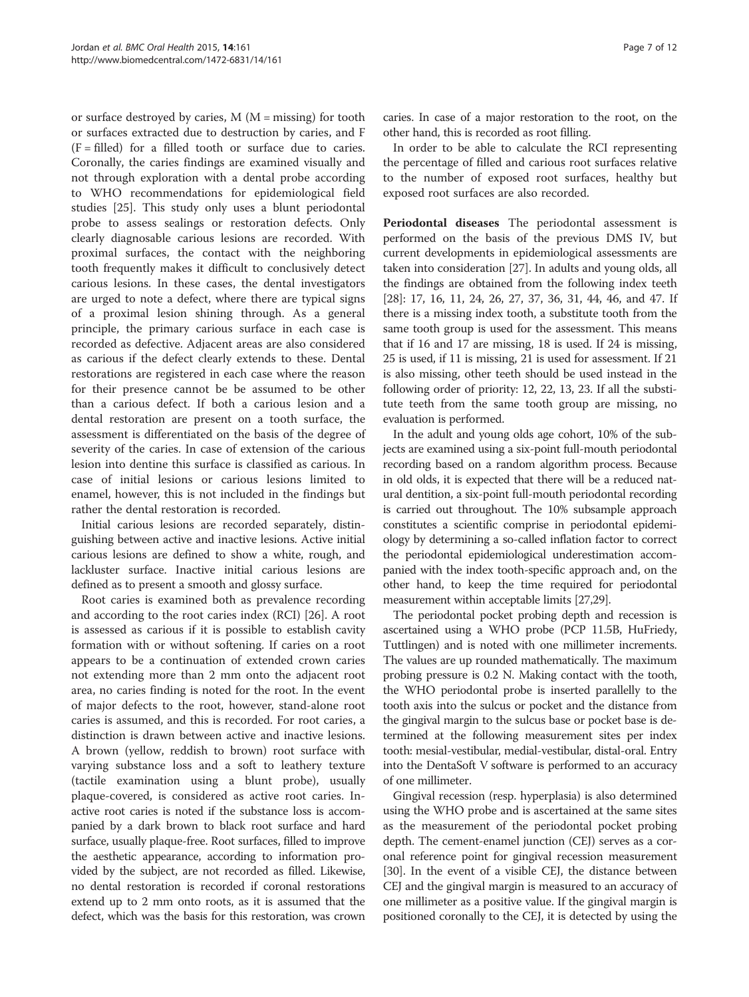or surface destroyed by caries,  $M (M = missing)$  for tooth or surfaces extracted due to destruction by caries, and F  $(F = filled)$  for a filled tooth or surface due to caries. Coronally, the caries findings are examined visually and not through exploration with a dental probe according to WHO recommendations for epidemiological field studies [\[25\]](#page-10-0). This study only uses a blunt periodontal probe to assess sealings or restoration defects. Only clearly diagnosable carious lesions are recorded. With proximal surfaces, the contact with the neighboring tooth frequently makes it difficult to conclusively detect carious lesions. In these cases, the dental investigators are urged to note a defect, where there are typical signs of a proximal lesion shining through. As a general principle, the primary carious surface in each case is recorded as defective. Adjacent areas are also considered as carious if the defect clearly extends to these. Dental restorations are registered in each case where the reason for their presence cannot be be assumed to be other than a carious defect. If both a carious lesion and a dental restoration are present on a tooth surface, the assessment is differentiated on the basis of the degree of severity of the caries. In case of extension of the carious lesion into dentine this surface is classified as carious. In case of initial lesions or carious lesions limited to enamel, however, this is not included in the findings but rather the dental restoration is recorded.

Initial carious lesions are recorded separately, distinguishing between active and inactive lesions. Active initial carious lesions are defined to show a white, rough, and lackluster surface. Inactive initial carious lesions are defined as to present a smooth and glossy surface.

Root caries is examined both as prevalence recording and according to the root caries index (RCI) [\[26](#page-10-0)]. A root is assessed as carious if it is possible to establish cavity formation with or without softening. If caries on a root appears to be a continuation of extended crown caries not extending more than 2 mm onto the adjacent root area, no caries finding is noted for the root. In the event of major defects to the root, however, stand-alone root caries is assumed, and this is recorded. For root caries, a distinction is drawn between active and inactive lesions. A brown (yellow, reddish to brown) root surface with varying substance loss and a soft to leathery texture (tactile examination using a blunt probe), usually plaque-covered, is considered as active root caries. Inactive root caries is noted if the substance loss is accompanied by a dark brown to black root surface and hard surface, usually plaque-free. Root surfaces, filled to improve the aesthetic appearance, according to information provided by the subject, are not recorded as filled. Likewise, no dental restoration is recorded if coronal restorations extend up to 2 mm onto roots, as it is assumed that the defect, which was the basis for this restoration, was crown

caries. In case of a major restoration to the root, on the other hand, this is recorded as root filling.

In order to be able to calculate the RCI representing the percentage of filled and carious root surfaces relative to the number of exposed root surfaces, healthy but exposed root surfaces are also recorded.

Periodontal diseases The periodontal assessment is performed on the basis of the previous DMS IV, but current developments in epidemiological assessments are taken into consideration [[27](#page-10-0)]. In adults and young olds, all the findings are obtained from the following index teeth [[28](#page-10-0)]: 17, 16, 11, 24, 26, 27, 37, 36, 31, 44, 46, and 47. If there is a missing index tooth, a substitute tooth from the same tooth group is used for the assessment. This means that if 16 and 17 are missing, 18 is used. If 24 is missing, 25 is used, if 11 is missing, 21 is used for assessment. If 21 is also missing, other teeth should be used instead in the following order of priority: 12, 22, 13, 23. If all the substitute teeth from the same tooth group are missing, no evaluation is performed.

In the adult and young olds age cohort, 10% of the subjects are examined using a six-point full-mouth periodontal recording based on a random algorithm process. Because in old olds, it is expected that there will be a reduced natural dentition, a six-point full-mouth periodontal recording is carried out throughout. The 10% subsample approach constitutes a scientific comprise in periodontal epidemiology by determining a so-called inflation factor to correct the periodontal epidemiological underestimation accompanied with the index tooth-specific approach and, on the other hand, to keep the time required for periodontal measurement within acceptable limits [\[27,29\]](#page-10-0).

The periodontal pocket probing depth and recession is ascertained using a WHO probe (PCP 11.5B, HuFriedy, Tuttlingen) and is noted with one millimeter increments. The values are up rounded mathematically. The maximum probing pressure is 0.2 N. Making contact with the tooth, the WHO periodontal probe is inserted parallelly to the tooth axis into the sulcus or pocket and the distance from the gingival margin to the sulcus base or pocket base is determined at the following measurement sites per index tooth: mesial-vestibular, medial-vestibular, distal-oral. Entry into the DentaSoft V software is performed to an accuracy of one millimeter.

Gingival recession (resp. hyperplasia) is also determined using the WHO probe and is ascertained at the same sites as the measurement of the periodontal pocket probing depth. The cement-enamel junction (CEJ) serves as a coronal reference point for gingival recession measurement [[30](#page-10-0)]. In the event of a visible CEJ, the distance between CEJ and the gingival margin is measured to an accuracy of one millimeter as a positive value. If the gingival margin is positioned coronally to the CEJ, it is detected by using the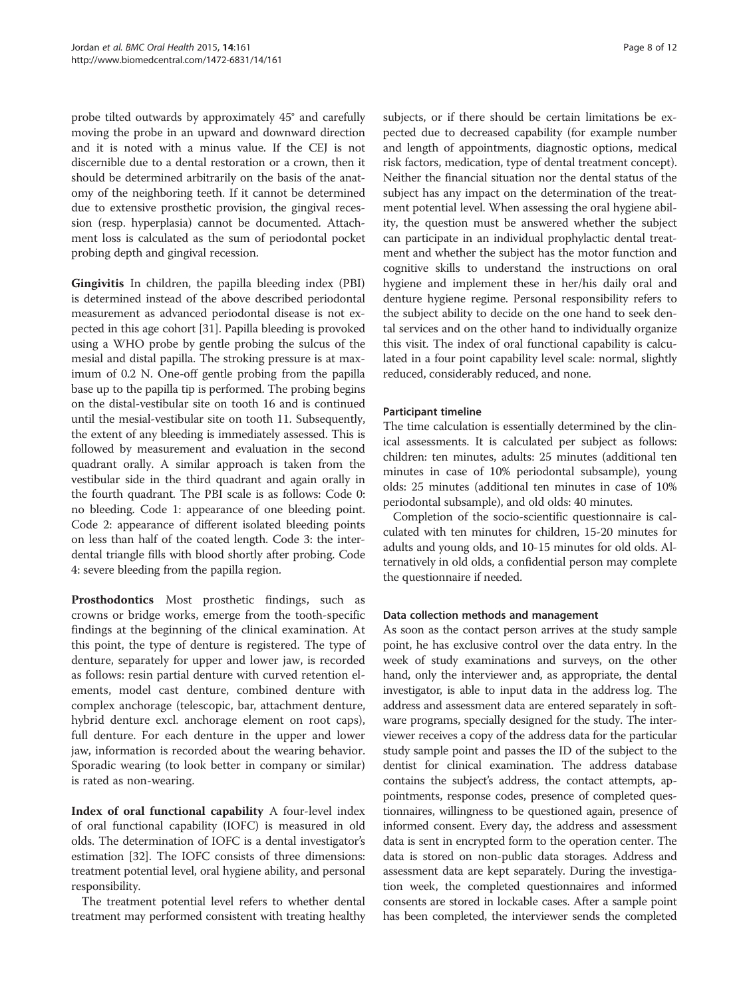probe tilted outwards by approximately 45° and carefully moving the probe in an upward and downward direction and it is noted with a minus value. If the CEJ is not discernible due to a dental restoration or a crown, then it should be determined arbitrarily on the basis of the anatomy of the neighboring teeth. If it cannot be determined due to extensive prosthetic provision, the gingival recession (resp. hyperplasia) cannot be documented. Attachment loss is calculated as the sum of periodontal pocket probing depth and gingival recession.

Gingivitis In children, the papilla bleeding index (PBI) is determined instead of the above described periodontal measurement as advanced periodontal disease is not expected in this age cohort [\[31\]](#page-10-0). Papilla bleeding is provoked using a WHO probe by gentle probing the sulcus of the mesial and distal papilla. The stroking pressure is at maximum of 0.2 N. One-off gentle probing from the papilla base up to the papilla tip is performed. The probing begins on the distal-vestibular site on tooth 16 and is continued until the mesial-vestibular site on tooth 11. Subsequently, the extent of any bleeding is immediately assessed. This is followed by measurement and evaluation in the second quadrant orally. A similar approach is taken from the vestibular side in the third quadrant and again orally in the fourth quadrant. The PBI scale is as follows: Code 0: no bleeding. Code 1: appearance of one bleeding point. Code 2: appearance of different isolated bleeding points on less than half of the coated length. Code 3: the interdental triangle fills with blood shortly after probing. Code 4: severe bleeding from the papilla region.

Prosthodontics Most prosthetic findings, such as crowns or bridge works, emerge from the tooth-specific findings at the beginning of the clinical examination. At this point, the type of denture is registered. The type of denture, separately for upper and lower jaw, is recorded as follows: resin partial denture with curved retention elements, model cast denture, combined denture with complex anchorage (telescopic, bar, attachment denture, hybrid denture excl. anchorage element on root caps), full denture. For each denture in the upper and lower jaw, information is recorded about the wearing behavior. Sporadic wearing (to look better in company or similar) is rated as non-wearing.

Index of oral functional capability A four-level index of oral functional capability (IOFC) is measured in old olds. The determination of IOFC is a dental investigator's estimation [[32](#page-10-0)]. The IOFC consists of three dimensions: treatment potential level, oral hygiene ability, and personal responsibility.

The treatment potential level refers to whether dental treatment may performed consistent with treating healthy

subjects, or if there should be certain limitations be expected due to decreased capability (for example number and length of appointments, diagnostic options, medical risk factors, medication, type of dental treatment concept). Neither the financial situation nor the dental status of the subject has any impact on the determination of the treatment potential level. When assessing the oral hygiene ability, the question must be answered whether the subject can participate in an individual prophylactic dental treatment and whether the subject has the motor function and cognitive skills to understand the instructions on oral hygiene and implement these in her/his daily oral and denture hygiene regime. Personal responsibility refers to the subject ability to decide on the one hand to seek dental services and on the other hand to individually organize this visit. The index of oral functional capability is calculated in a four point capability level scale: normal, slightly reduced, considerably reduced, and none.

# Participant timeline

The time calculation is essentially determined by the clinical assessments. It is calculated per subject as follows: children: ten minutes, adults: 25 minutes (additional ten minutes in case of 10% periodontal subsample), young olds: 25 minutes (additional ten minutes in case of 10% periodontal subsample), and old olds: 40 minutes.

Completion of the socio-scientific questionnaire is calculated with ten minutes for children, 15-20 minutes for adults and young olds, and 10-15 minutes for old olds. Alternatively in old olds, a confidential person may complete the questionnaire if needed.

#### Data collection methods and management

As soon as the contact person arrives at the study sample point, he has exclusive control over the data entry. In the week of study examinations and surveys, on the other hand, only the interviewer and, as appropriate, the dental investigator, is able to input data in the address log. The address and assessment data are entered separately in software programs, specially designed for the study. The interviewer receives a copy of the address data for the particular study sample point and passes the ID of the subject to the dentist for clinical examination. The address database contains the subject's address, the contact attempts, appointments, response codes, presence of completed questionnaires, willingness to be questioned again, presence of informed consent. Every day, the address and assessment data is sent in encrypted form to the operation center. The data is stored on non-public data storages. Address and assessment data are kept separately. During the investigation week, the completed questionnaires and informed consents are stored in lockable cases. After a sample point has been completed, the interviewer sends the completed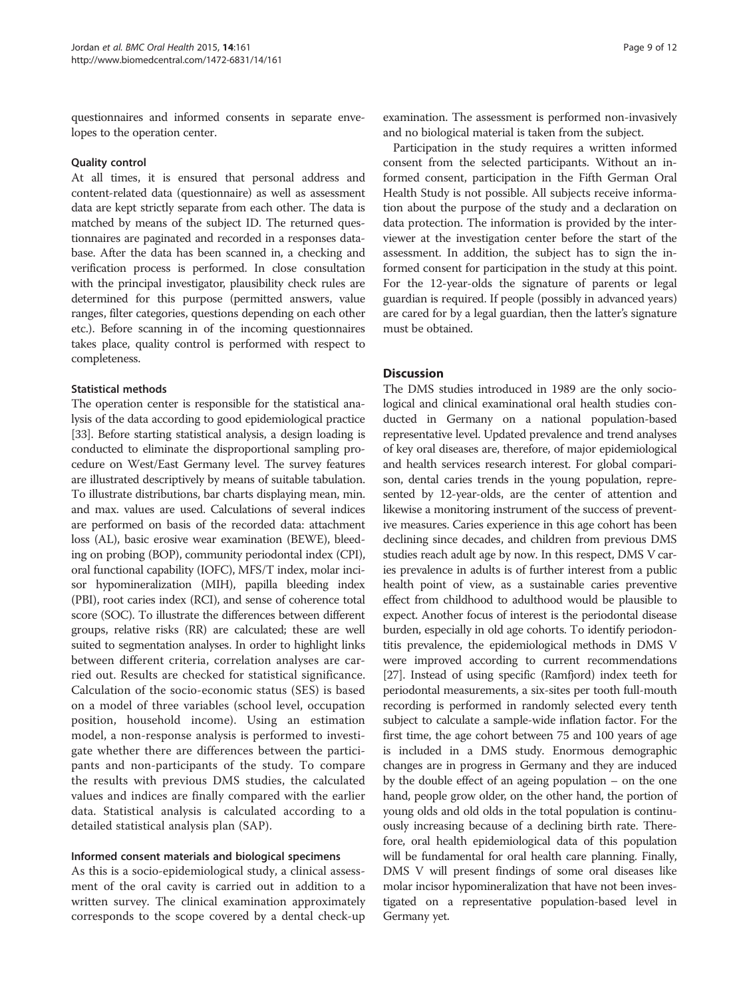questionnaires and informed consents in separate envelopes to the operation center.

#### Quality control

At all times, it is ensured that personal address and content-related data (questionnaire) as well as assessment data are kept strictly separate from each other. The data is matched by means of the subject ID. The returned questionnaires are paginated and recorded in a responses database. After the data has been scanned in, a checking and verification process is performed. In close consultation with the principal investigator, plausibility check rules are determined for this purpose (permitted answers, value ranges, filter categories, questions depending on each other etc.). Before scanning in of the incoming questionnaires takes place, quality control is performed with respect to completeness.

#### Statistical methods

The operation center is responsible for the statistical analysis of the data according to good epidemiological practice [[33](#page-10-0)]. Before starting statistical analysis, a design loading is conducted to eliminate the disproportional sampling procedure on West/East Germany level. The survey features are illustrated descriptively by means of suitable tabulation. To illustrate distributions, bar charts displaying mean, min. and max. values are used. Calculations of several indices are performed on basis of the recorded data: attachment loss (AL), basic erosive wear examination (BEWE), bleeding on probing (BOP), community periodontal index (CPI), oral functional capability (IOFC), MFS/T index, molar incisor hypomineralization (MIH), papilla bleeding index (PBI), root caries index (RCI), and sense of coherence total score (SOC). To illustrate the differences between different groups, relative risks (RR) are calculated; these are well suited to segmentation analyses. In order to highlight links between different criteria, correlation analyses are carried out. Results are checked for statistical significance. Calculation of the socio-economic status (SES) is based on a model of three variables (school level, occupation position, household income). Using an estimation model, a non-response analysis is performed to investigate whether there are differences between the participants and non-participants of the study. To compare the results with previous DMS studies, the calculated values and indices are finally compared with the earlier data. Statistical analysis is calculated according to a detailed statistical analysis plan (SAP).

#### Informed consent materials and biological specimens

As this is a socio-epidemiological study, a clinical assessment of the oral cavity is carried out in addition to a written survey. The clinical examination approximately corresponds to the scope covered by a dental check-up

examination. The assessment is performed non-invasively and no biological material is taken from the subject.

Participation in the study requires a written informed consent from the selected participants. Without an informed consent, participation in the Fifth German Oral Health Study is not possible. All subjects receive information about the purpose of the study and a declaration on data protection. The information is provided by the interviewer at the investigation center before the start of the assessment. In addition, the subject has to sign the informed consent for participation in the study at this point. For the 12-year-olds the signature of parents or legal guardian is required. If people (possibly in advanced years) are cared for by a legal guardian, then the latter's signature must be obtained.

# Discussion

The DMS studies introduced in 1989 are the only sociological and clinical examinational oral health studies conducted in Germany on a national population-based representative level. Updated prevalence and trend analyses of key oral diseases are, therefore, of major epidemiological and health services research interest. For global comparison, dental caries trends in the young population, represented by 12-year-olds, are the center of attention and likewise a monitoring instrument of the success of preventive measures. Caries experience in this age cohort has been declining since decades, and children from previous DMS studies reach adult age by now. In this respect, DMS V caries prevalence in adults is of further interest from a public health point of view, as a sustainable caries preventive effect from childhood to adulthood would be plausible to expect. Another focus of interest is the periodontal disease burden, especially in old age cohorts. To identify periodontitis prevalence, the epidemiological methods in DMS V were improved according to current recommendations [[27](#page-10-0)]. Instead of using specific (Ramfjord) index teeth for periodontal measurements, a six-sites per tooth full-mouth recording is performed in randomly selected every tenth subject to calculate a sample-wide inflation factor. For the first time, the age cohort between 75 and 100 years of age is included in a DMS study. Enormous demographic changes are in progress in Germany and they are induced by the double effect of an ageing population – on the one hand, people grow older, on the other hand, the portion of young olds and old olds in the total population is continuously increasing because of a declining birth rate. Therefore, oral health epidemiological data of this population will be fundamental for oral health care planning. Finally, DMS V will present findings of some oral diseases like molar incisor hypomineralization that have not been investigated on a representative population-based level in Germany yet.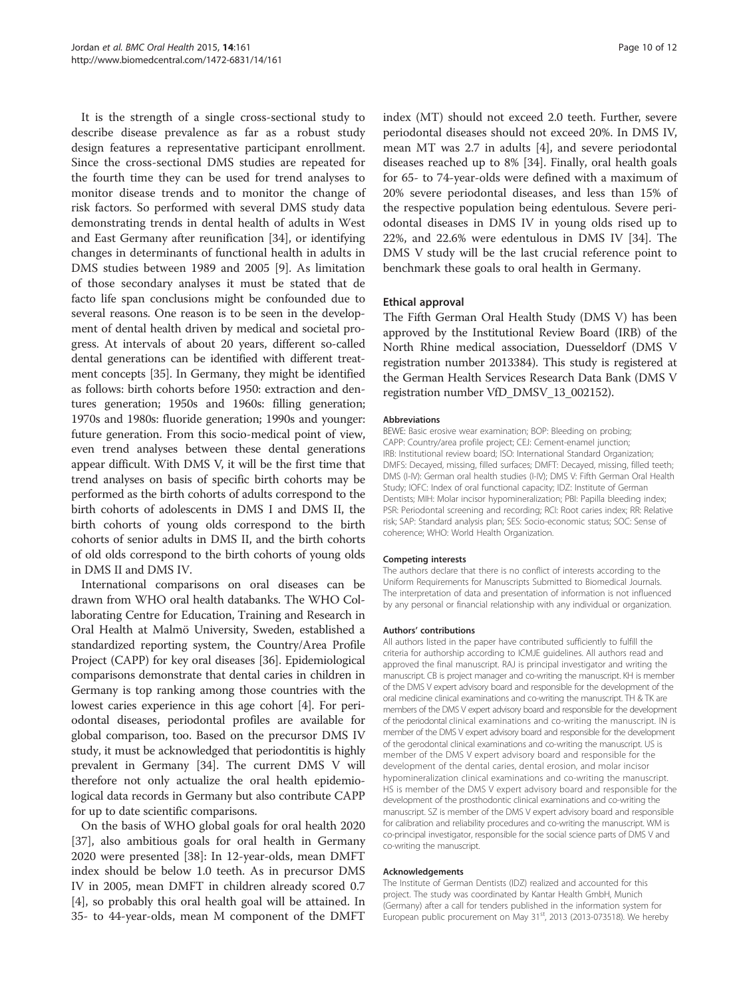It is the strength of a single cross-sectional study to describe disease prevalence as far as a robust study design features a representative participant enrollment. Since the cross-sectional DMS studies are repeated for the fourth time they can be used for trend analyses to monitor disease trends and to monitor the change of risk factors. So performed with several DMS study data demonstrating trends in dental health of adults in West and East Germany after reunification [[34](#page-11-0)], or identifying changes in determinants of functional health in adults in DMS studies between 1989 and 2005 [[9\]](#page-10-0). As limitation of those secondary analyses it must be stated that de facto life span conclusions might be confounded due to several reasons. One reason is to be seen in the development of dental health driven by medical and societal progress. At intervals of about 20 years, different so-called dental generations can be identified with different treatment concepts [\[35\]](#page-11-0). In Germany, they might be identified as follows: birth cohorts before 1950: extraction and dentures generation; 1950s and 1960s: filling generation; 1970s and 1980s: fluoride generation; 1990s and younger: future generation. From this socio-medical point of view, even trend analyses between these dental generations appear difficult. With DMS V, it will be the first time that trend analyses on basis of specific birth cohorts may be performed as the birth cohorts of adults correspond to the birth cohorts of adolescents in DMS I and DMS II, the birth cohorts of young olds correspond to the birth cohorts of senior adults in DMS II, and the birth cohorts of old olds correspond to the birth cohorts of young olds in DMS II and DMS IV.

International comparisons on oral diseases can be drawn from WHO oral health databanks. The WHO Collaborating Centre for Education, Training and Research in Oral Health at Malmö University, Sweden, established a standardized reporting system, the Country/Area Profile Project (CAPP) for key oral diseases [\[36\]](#page-11-0). Epidemiological comparisons demonstrate that dental caries in children in Germany is top ranking among those countries with the lowest caries experience in this age cohort [\[4\]](#page-10-0). For periodontal diseases, periodontal profiles are available for global comparison, too. Based on the precursor DMS IV study, it must be acknowledged that periodontitis is highly prevalent in Germany [\[34\]](#page-11-0). The current DMS V will therefore not only actualize the oral health epidemiological data records in Germany but also contribute CAPP for up to date scientific comparisons.

On the basis of WHO global goals for oral health 2020 [[37\]](#page-11-0), also ambitious goals for oral health in Germany 2020 were presented [\[38](#page-11-0)]: In 12-year-olds, mean DMFT index should be below 1.0 teeth. As in precursor DMS IV in 2005, mean DMFT in children already scored 0.7 [[4\]](#page-10-0), so probably this oral health goal will be attained. In 35- to 44-year-olds, mean M component of the DMFT

index (MT) should not exceed 2.0 teeth. Further, severe periodontal diseases should not exceed 20%. In DMS IV, mean MT was 2.7 in adults [\[4](#page-10-0)], and severe periodontal diseases reached up to 8% [\[34](#page-11-0)]. Finally, oral health goals for 65- to 74-year-olds were defined with a maximum of 20% severe periodontal diseases, and less than 15% of the respective population being edentulous. Severe periodontal diseases in DMS IV in young olds rised up to 22%, and 22.6% were edentulous in DMS IV [[34\]](#page-11-0). The DMS V study will be the last crucial reference point to benchmark these goals to oral health in Germany.

# Ethical approval

The Fifth German Oral Health Study (DMS V) has been approved by the Institutional Review Board (IRB) of the North Rhine medical association, Duesseldorf (DMS V registration number 2013384). This study is registered at the German Health Services Research Data Bank (DMS V registration number VfD\_DMSV\_13\_002152).

#### Abbreviations

BEWE: Basic erosive wear examination; BOP: Bleeding on probing; CAPP: Country/area profile project; CEJ: Cement-enamel junction; IRB: Institutional review board; ISO: International Standard Organization; DMFS: Decayed, missing, filled surfaces; DMFT: Decayed, missing, filled teeth; DMS (I-IV): German oral health studies (I-IV); DMS V: Fifth German Oral Health Study; IOFC: Index of oral functional capacity; IDZ: Institute of German Dentists; MIH: Molar incisor hypomineralization; PBI: Papilla bleeding index; PSR: Periodontal screening and recording; RCI: Root caries index; RR: Relative risk; SAP: Standard analysis plan; SES: Socio-economic status; SOC: Sense of coherence; WHO: World Health Organization.

#### Competing interests

The authors declare that there is no conflict of interests according to the Uniform Requirements for Manuscripts Submitted to Biomedical Journals. The interpretation of data and presentation of information is not influenced by any personal or financial relationship with any individual or organization.

#### Authors' contributions

All authors listed in the paper have contributed sufficiently to fulfill the criteria for authorship according to ICMJE guidelines. All authors read and approved the final manuscript. RAJ is principal investigator and writing the manuscript. CB is project manager and co-writing the manuscript. KH is member of the DMS V expert advisory board and responsible for the development of the oral medicine clinical examinations and co-writing the manuscript. TH & TK are members of the DMS V expert advisory board and responsible for the development of the periodontal clinical examinations and co-writing the manuscript. IN is member of the DMS V expert advisory board and responsible for the development of the gerodontal clinical examinations and co-writing the manuscript. US is member of the DMS V expert advisory board and responsible for the development of the dental caries, dental erosion, and molar incisor hypomineralization clinical examinations and co-writing the manuscript. HS is member of the DMS V expert advisory board and responsible for the development of the prosthodontic clinical examinations and co-writing the manuscript. SZ is member of the DMS V expert advisory board and responsible for calibration and reliability procedures and co-writing the manuscript. WM is co-principal investigator, responsible for the social science parts of DMS V and co-writing the manuscript.

#### Acknowledgements

The Institute of German Dentists (IDZ) realized and accounted for this project. The study was coordinated by Kantar Health GmbH, Munich (Germany) after a call for tenders published in the information system for European public procurement on May 31st, 2013 (2013-073518). We hereby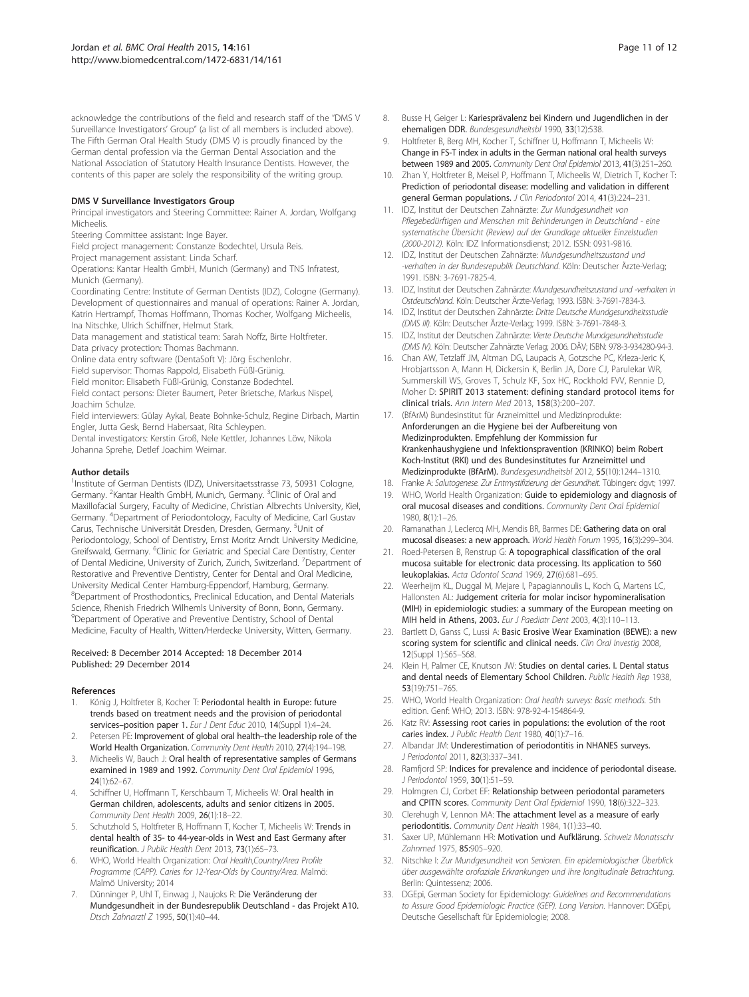<span id="page-10-0"></span>acknowledge the contributions of the field and research staff of the "DMS V Surveillance Investigators' Group" (a list of all members is included above). The Fifth German Oral Health Study (DMS V) is proudly financed by the German dental profession via the German Dental Association and the National Association of Statutory Health Insurance Dentists. However, the contents of this paper are solely the responsibility of the writing group.

#### DMS V Surveillance Investigators Group

Principal investigators and Steering Committee: Rainer A. Jordan, Wolfgang Micheelis.

Steering Committee assistant: Inge Bayer.

Field project management: Constanze Bodechtel, Ursula Reis.

Project management assistant: Linda Scharf.

Operations: Kantar Health GmbH, Munich (Germany) and TNS Infratest, Munich (Germany).

Coordinating Centre: Institute of German Dentists (IDZ), Cologne (Germany). Development of questionnaires and manual of operations: Rainer A. Jordan, Katrin Hertrampf, Thomas Hoffmann, Thomas Kocher, Wolfgang Micheelis, Ina Nitschke, Ulrich Schiffner, Helmut Stark.

Data management and statistical team: Sarah Noffz, Birte Holtfreter. Data privacy protection: Thomas Bachmann.

Online data entry software (DentaSoft V): Jörg Eschenlohr.

Field supervisor: Thomas Rappold, Elisabeth Füßl-Grünig.

Field monitor: Elisabeth Füßl-Grünig, Constanze Bodechtel.

Field contact persons: Dieter Baumert, Peter Brietsche, Markus Nispel, Joachim Schulze.

Field interviewers: Gülay Aykal, Beate Bohnke-Schulz, Regine Dirbach, Martin Engler, Jutta Gesk, Bernd Habersaat, Rita Schleypen.

Dental investigators: Kerstin Groß, Nele Kettler, Johannes Löw, Nikola Johanna Sprehe, Detlef Joachim Weimar.

#### Author details

<sup>1</sup>Institute of German Dentists (IDZ), Universitaetsstrasse 73, 50931 Cologne, Germany. <sup>2</sup>Kantar Health GmbH, Munich, Germany. <sup>3</sup>Clinic of Oral and Maxillofacial Surgery, Faculty of Medicine, Christian Albrechts University, Kiel, Germany. <sup>4</sup>Department of Periodontology, Faculty of Medicine, Carl Gustav Carus, Technische Universität Dresden, Dresden, Germany. <sup>5</sup>Unit of Periodontology, School of Dentistry, Ernst Moritz Arndt University Medicine, Greifswald, Germany. <sup>6</sup>Clinic for Geriatric and Special Care Dentistry, Center of Dental Medicine, University of Zurich, Zurich, Switzerland. <sup>7</sup>Department of Restorative and Preventive Dentistry, Center for Dental and Oral Medicine, University Medical Center Hamburg-Eppendorf, Hamburg, Germany. <sup>8</sup>Department of Prosthodontics, Preclinical Education, and Dental Materials Science, Rhenish Friedrich Wilhemls University of Bonn, Bonn, Germany. 9 Department of Operative and Preventive Dentistry, School of Dental Medicine, Faculty of Health, Witten/Herdecke University, Witten, Germany.

#### Received: 8 December 2014 Accepted: 18 December 2014 Published: 29 December 2014

#### References

- König J, Holtfreter B, Kocher T: Periodontal health in Europe: future trends based on treatment needs and the provision of periodontal services-position paper 1. Eur J Dent Educ 2010, 14(Suppl 1):4-24.
- 2. Petersen PE: Improvement of global oral health–the leadership role of the World Health Organization. Community Dent Health 2010, 27(4):194–198.
- 3. Micheelis W, Bauch J: Oral health of representative samples of Germans examined in 1989 and 1992. Community Dent Oral Epidemiol 1996, 24(1):62–67.
- Schiffner U, Hoffmann T, Kerschbaum T, Micheelis W: Oral health in German children, adolescents, adults and senior citizens in 2005. Community Dent Health 2009, 26(1):18–22.
- Schutzhold S, Holtfreter B, Hoffmann T, Kocher T, Micheelis W: Trends in dental health of 35- to 44-year-olds in West and East Germany after reunification. J Public Health Dent 2013, 73(1):65–73.
- 6. WHO, World Health Organization: Oral Health, Country/Area Profile Programme (CAPP). Caries for 12-Year-Olds by Country/Area. Malmö: Malmö University; 2014
- Dünninger P, Uhl T, Einwag J, Naujoks R: Die Veränderung der Mundgesundheit in der Bundesrepublik Deutschland - das Projekt A10. Dtsch Zahnarztl Z 1995, 50(1):40–44.
- 8. Busse H, Geiger L: Kariesprävalenz bei Kindern und Jugendlichen in der ehemaligen DDR. Bundesgesundheitsbl 1990, 33(12):538.
- 9. Holtfreter B, Berg MH, Kocher T, Schiffner U, Hoffmann T, Micheelis W: Change in FS-T index in adults in the German national oral health surveys between 1989 and 2005. Community Dent Oral Epidemiol 2013, 41(3):251–260.
- 10. Zhan Y, Holtfreter B, Meisel P, Hoffmann T, Micheelis W, Dietrich T, Kocher T: Prediction of periodontal disease: modelling and validation in different general German populations. J Clin Periodontol 2014, 41(3):224-231.
- 11. IDZ, Institut der Deutschen Zahnärzte: Zur Mundgesundheit von Pflegebedürftigen und Menschen mit Behinderungen in Deutschland - eine systematische Übersicht (Review) auf der Grundlage aktueller Einzelstudien (2000-2012). Köln: IDZ Informationsdienst; 2012. ISSN: 0931-9816.
- 12. IDZ, Institut der Deutschen Zahnärzte: Mundgesundheitszustand und -verhalten in der Bundesrepublik Deutschland. Köln: Deutscher Ärzte-Verlag; 1991. ISBN: 3-7691-7825-4.
- 13. IDZ, Institut der Deutschen Zahnärzte: Mundgesundheitszustand und -verhalten in Ostdeutschland. Köln: Deutscher Ärzte-Verlag; 1993. ISBN: 3-7691-7834-3.
- 14. IDZ, Institut der Deutschen Zahnärzte: Dritte Deutsche Mundgesundheitsstudie (DMS III). Köln: Deutscher Ärzte-Verlag; 1999. ISBN: 3-7691-7848-3.
- 15. IDZ, Institut der Deutschen Zahnärzte: Vierte Deutsche Mundgesundheitsstudie (DMS IV). Köln: Deutscher Zahnärzte Verlag; 2006. DÄV; ISBN: 978-3-934280-94-3.
- 16. Chan AW, Tetzlaff JM, Altman DG, Laupacis A, Gotzsche PC, Krleza-Jeric K, Hrobjartsson A, Mann H, Dickersin K, Berlin JA, Dore CJ, Parulekar WR, Summerskill WS, Groves T, Schulz KF, Sox HC, Rockhold FVV, Rennie D, Moher D: SPIRIT 2013 statement: defining standard protocol items for clinical trials. Ann Intern Med 2013, 158(3):200–207.
- 17. (BfArM) Bundesinstitut für Arzneimittel und Medizinprodukte: Anforderungen an die Hygiene bei der Aufbereitung von Medizinprodukten. Empfehlung der Kommission fur Krankenhaushygiene und Infektionspravention (KRINKO) beim Robert Koch-Institut (RKI) und des Bundesinstitutes fur Arzneimittel und Medizinprodukte (BfArM). Bundesgesundheitsbl 2012, 55(10):1244–1310.
- 18. Franke A: Salutogenese. Zur Entmystifizierung der Gesundheit. Tübingen: dgvt; 1997.
- 19. WHO, World Health Organization: Guide to epidemiology and diagnosis of oral mucosal diseases and conditions. Community Dent Oral Epidemiol 1980, 8(1):1–26.
- 20. Ramanathan J, Leclercq MH, Mendis BR, Barmes DE: Gathering data on oral mucosal diseases: a new approach. World Health Forum 1995, 16(3):299–304.
- 21. Roed-Petersen B, Renstrup G: A topographical classification of the oral mucosa suitable for electronic data processing. Its application to 560 leukoplakias. Acta Odontol Scand 1969, 27(6):681–695.
- 22. Weerheijm KL, Duggal M, Mejare I, Papagiannoulis L, Koch G, Martens LC, Hallonsten AL: Judgement criteria for molar incisor hypomineralisation (MIH) in epidemiologic studies: a summary of the European meeting on MIH held in Athens, 2003. Eur J Paediatr Dent 2003, 4(3):110–113.
- 23. Bartlett D, Ganss C, Lussi A: Basic Erosive Wear Examination (BEWE): a new scoring system for scientific and clinical needs. Clin Oral Investig 2008, 12(Suppl 1):S65–S68.
- 24. Klein H, Palmer CE, Knutson JW: Studies on dental caries. I. Dental status and dental needs of Elementary School Children. Public Health Rep 1938, 53(19):751–765.
- 25. WHO, World Health Organization: Oral health surveys: Basic methods. 5th edition. Genf: WHO; 2013. ISBN: 978-92-4-154864-9.
- 26. Katz RV: Assessing root caries in populations: the evolution of the root caries index. J Public Health Dent 1980, 40(1):7-16.
- 27. Albandar JM: Underestimation of periodontitis in NHANES surveys. J Periodontol 2011, 82(3):337-341.
- 28. Ramfjord SP: Indices for prevalence and incidence of periodontal disease. J Periodontol 1959, 30(1):51–59.
- 29. Holmgren CJ, Corbet EF: Relationship between periodontal parameters and CPITN scores. Community Dent Oral Epidemiol 1990, 18(6):322–323.
- 30. Clerehugh V, Lennon MA: The attachment level as a measure of early periodontitis. Community Dent Health 1984, 1(1):33–40.
- 31. Saxer UP, Mühlemann HR: Motivation und Aufklärung. Schweiz Monatsschr Zahnmed 1975, 85:905–920.
- 32. Nitschke I: Zur Mundgesundheit von Senioren. Ein epidemiologischer Überblick über ausgewählte orofaziale Erkrankungen und ihre longitudinale Betrachtung. Berlin: Quintessenz; 2006.
- 33. DGEpi, German Society for Epidemiology: Guidelines and Recommendations to Assure Good Epidemiologic Practice (GEP). Long Version. Hannover: DGEpi, Deutsche Gesellschaft für Epidemiologie; 2008.